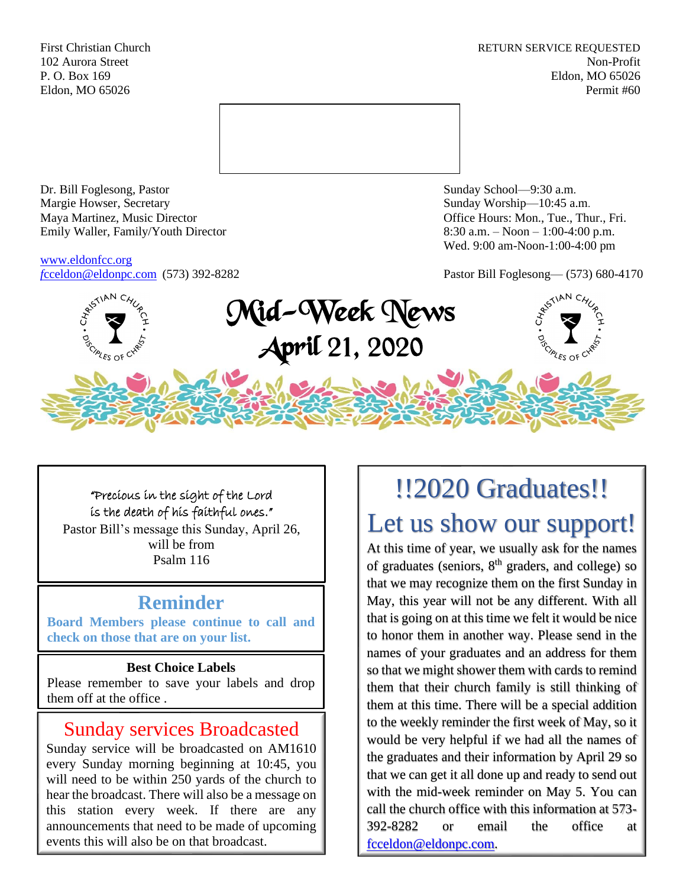First Christian Church **RETURN SERVICE REQUESTED** 102 Aurora Street Non-Profit P. O. Box 169 Eldon, MO 65026 Eldon, MO 65026 Permit #60



Dr. Bill Foglesong, Pastor Sunday School—9:30 a.m. Margie Howser, Secretary Sunday Worship—10:45 a.m. Maya Martinez, Music Director Office Hours: Mon., Tue., Thur., Fri. Emily Waller, Family/Youth Director 8:30 a.m. – Noon – 1:00-4:00 p.m.

[www.eldonfcc.org](http://www.eldonfcc.org/)

Wed. 9:00 am-Noon-1:00-4:00 pm

*f*[cceldon@eldonpc.com](mailto:fcceldon@eldonpc.com) (573) 392-8282 Pastor Bill Foglesong— (573) 680-4170



"Precious in the sight of the Lord is the death of his faithful ones." Pastor Bill's message this Sunday, April 26, will be from Psalm 116

## **Reminder**

**Board Members please continue to call and check on those that are on your list.** 

### **Best Choice Labels**

Please remember to save your labels and drop them off at the office .

# Sunday services Broadcasted

Sunday service will be broadcasted on AM1610 every Sunday morning beginning at 10:45, you will need to be within 250 yards of the church to hear the broadcast. There will also be a message on this station every week. If there are any announcements that need to be made of upcoming events this will also be on that broadcast.

# !!2020 Graduates!! Let us show our support!

At this time of year, we usually ask for the names of graduates (seniors,  $8<sup>th</sup>$  graders, and college) so that we may recognize them on the first Sunday in May, this year will not be any different. With all that is going on at this time we felt it would be nice to honor them in another way. Please send in the names of your graduates and an address for them so that we might shower them with cards to remind them that their church family is still thinking of them at this time. There will be a special addition to the weekly reminder the first week of May, so it would be very helpful if we had all the names of the graduates and their information by April 29 so that we can get it all done up and ready to send out with the mid-week reminder on May 5. You can call the church office with this information at 573- 392-8282 or email the office at [fcceldon@eldonpc.com.](mailto:fcceldon@eldonpc.com)